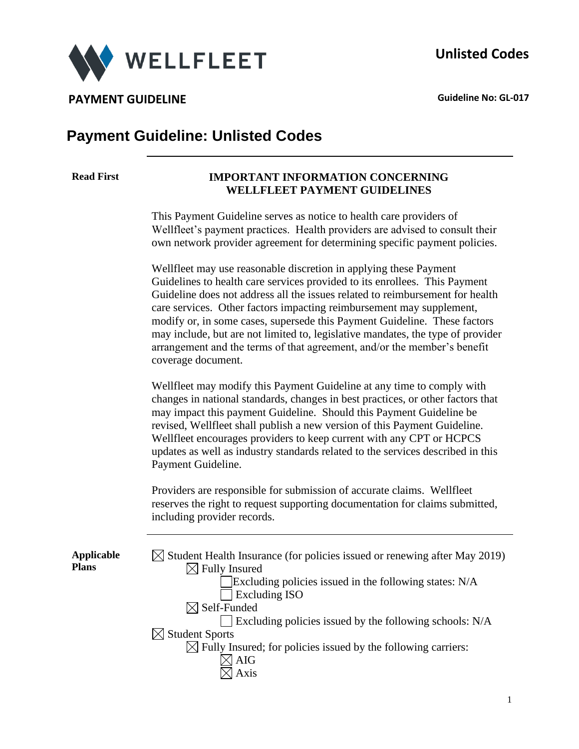

**PAYMENT GUIDELINE CONSUMING A CONSUMING A CONSUMING A CONSUMING A CONSUMING A CONSUMING A CONSUMING A CONSUMING A CONSUMING A CONSUMING A CONSUMING A CONSUMING A CONSUMING A CONSUMING A CONSUMING A CONSUMING A CONSUMING** 

# **Payment Guideline: Unlisted Codes**

#### **Read First IMPORTANT INFORMATION CONCERNING WELLFLEET PAYMENT GUIDELINES**

This Payment Guideline serves as notice to health care providers of Wellfleet's payment practices. Health providers are advised to consult their own network provider agreement for determining specific payment policies.

Wellfleet may use reasonable discretion in applying these Payment Guidelines to health care services provided to its enrollees. This Payment Guideline does not address all the issues related to reimbursement for health care services. Other factors impacting reimbursement may supplement, modify or, in some cases, supersede this Payment Guideline. These factors may include, but are not limited to, legislative mandates, the type of provider arrangement and the terms of that agreement, and/or the member's benefit coverage document.

Wellfleet may modify this Payment Guideline at any time to comply with changes in national standards, changes in best practices, or other factors that may impact this payment Guideline. Should this Payment Guideline be revised, Wellfleet shall publish a new version of this Payment Guideline. Wellfleet encourages providers to keep current with any CPT or HCPCS updates as well as industry standards related to the services described in this Payment Guideline.

Providers are responsible for submission of accurate claims. Wellfleet reserves the right to request supporting documentation for claims submitted, including provider records.

**Applicable Plans**

| $\boxtimes$ Student Health Insurance (for policies issued or renewing after May 2019) |
|---------------------------------------------------------------------------------------|
| $\boxtimes$ Fully Insured                                                             |
| Excluding policies issued in the following states: N/A                                |
| <b>Excluding ISO</b>                                                                  |
| $\boxtimes$ Self-Funded                                                               |
| $\Box$ Excluding policies issued by the following schools: N/A                        |
| $\boxtimes$ Student Sports                                                            |
| $\boxtimes$ Fully Insured; for policies issued by the following carriers:             |
| <b>AIG</b>                                                                            |
| Axis                                                                                  |
|                                                                                       |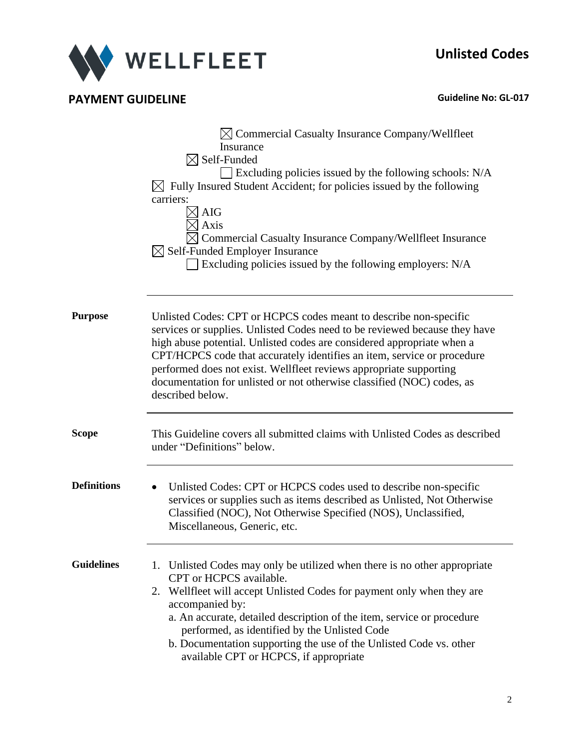

# **PAYMENT GUIDELINE CONSUMPAYMENT GUIDELINE**

|                    | $\boxtimes$ Commercial Casualty Insurance Company/Wellfleet<br>Insurance<br>$\boxtimes$ Self-Funded<br>$\Box$ Excluding policies issued by the following schools: N/A<br>$\boxtimes$ Fully Insured Student Accident; for policies issued by the following<br>carriers:<br><b>AIG</b><br>Axis<br>Commercial Casualty Insurance Company/Wellfleet Insurance<br>$\boxtimes$ Self-Funded Employer Insurance<br>Excluding policies issued by the following employers: N/A     |  |  |  |
|--------------------|--------------------------------------------------------------------------------------------------------------------------------------------------------------------------------------------------------------------------------------------------------------------------------------------------------------------------------------------------------------------------------------------------------------------------------------------------------------------------|--|--|--|
| <b>Purpose</b>     | Unlisted Codes: CPT or HCPCS codes meant to describe non-specific<br>services or supplies. Unlisted Codes need to be reviewed because they have<br>high abuse potential. Unlisted codes are considered appropriate when a<br>CPT/HCPCS code that accurately identifies an item, service or procedure<br>performed does not exist. Wellfleet reviews appropriate supporting<br>documentation for unlisted or not otherwise classified (NOC) codes, as<br>described below. |  |  |  |
| <b>Scope</b>       | This Guideline covers all submitted claims with Unlisted Codes as described<br>under "Definitions" below.                                                                                                                                                                                                                                                                                                                                                                |  |  |  |
| <b>Definitions</b> | Unlisted Codes: CPT or HCPCS codes used to describe non-specific<br>$\bullet$<br>services or supplies such as items described as Unlisted, Not Otherwise<br>Classified (NOC), Not Otherwise Specified (NOS), Unclassified,<br>Miscellaneous, Generic, etc.                                                                                                                                                                                                               |  |  |  |
| <b>Guidelines</b>  | 1. Unlisted Codes may only be utilized when there is no other appropriate<br>CPT or HCPCS available.<br>2. Wellfleet will accept Unlisted Codes for payment only when they are<br>accompanied by:<br>a. An accurate, detailed description of the item, service or procedure<br>performed, as identified by the Unlisted Code<br>b. Documentation supporting the use of the Unlisted Code vs. other<br>available CPT or HCPCS, if appropriate                             |  |  |  |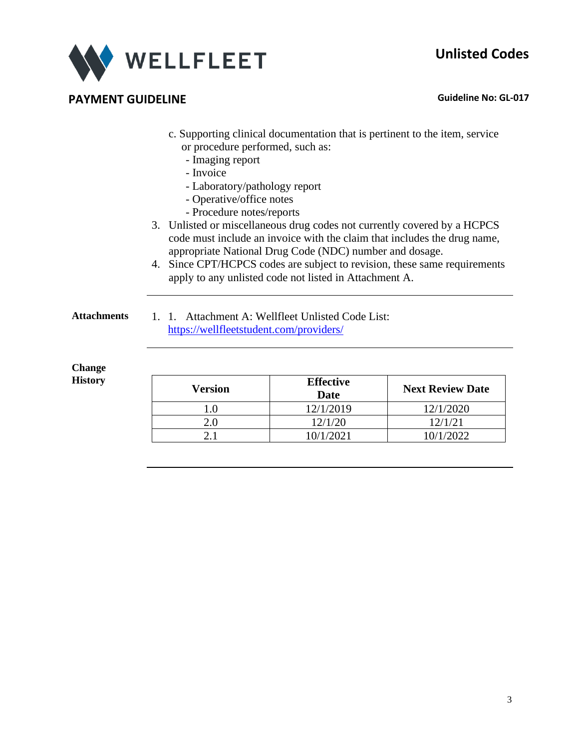# **Unlisted Codes**



### **PAYMENT GUIDELINE CONSUMING A CONSUMING A CONSUMING A CONSUMING A CONSUMING A CONSUMING A CONSUMING A CONSUMING A CONSUMING A CONSUMING A CONSUMING A CONSUMING A CONSUMING A CONSUMING A CONSUMING A CONSUMING A CONSUMING**

- c. Supporting clinical documentation that is pertinent to the item, service or procedure performed, such as:
	- Imaging report
	- Invoice
	- Laboratory/pathology report
	- Operative/office notes
	- Procedure notes/reports
- 3. Unlisted or miscellaneous drug codes not currently covered by a HCPCS code must include an invoice with the claim that includes the drug name, appropriate National Drug Code (NDC) number and dosage.
- 4. Since CPT/HCPCS codes are subject to revision, these same requirements apply to any unlisted code not listed in Attachment A.
- 
- **Attachments** 1. 1. Attachment A: Wellfleet Unlisted Code List: <https://wellfleetstudent.com/providers/>

#### **Change History**

| Version | <b>Effective</b><br>Date | <b>Next Review Date</b> |
|---------|--------------------------|-------------------------|
| 1.0     | 12/1/2019                | 12/1/2020               |
| 2.0     | 12/1/20                  | 12/1/21                 |
|         | 10/1/2021                | 10/1/2022               |